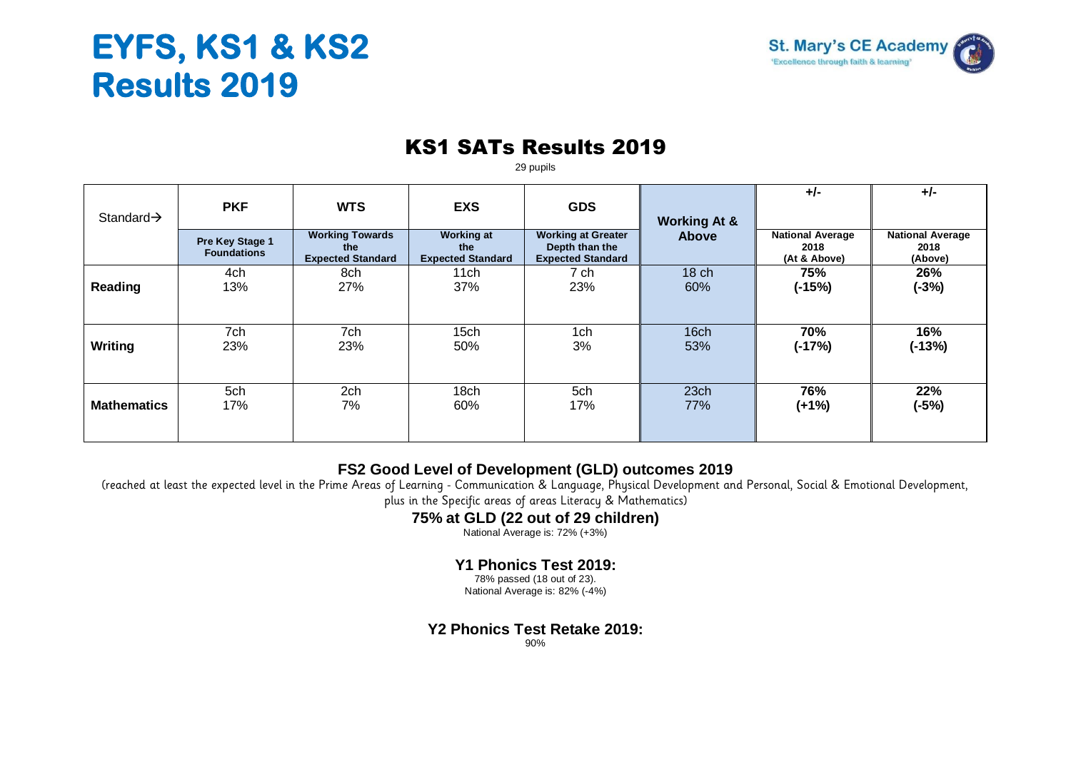# **EYFS, KS1 & KS2 Results 2019**



### KS1 SATs Results 2019

29 pupils

|                        |                                       |                                                           |                                                      |                                                                         |                         | $+/-$                                           | $+/-$                                      |
|------------------------|---------------------------------------|-----------------------------------------------------------|------------------------------------------------------|-------------------------------------------------------------------------|-------------------------|-------------------------------------------------|--------------------------------------------|
| Standard $\rightarrow$ | <b>PKF</b>                            | <b>WTS</b>                                                | <b>EXS</b>                                           | <b>GDS</b>                                                              | <b>Working At &amp;</b> |                                                 |                                            |
|                        | Pre Key Stage 1<br><b>Foundations</b> | <b>Working Towards</b><br>the<br><b>Expected Standard</b> | <b>Working at</b><br>the<br><b>Expected Standard</b> | <b>Working at Greater</b><br>Depth than the<br><b>Expected Standard</b> | <b>Above</b>            | <b>National Average</b><br>2018<br>(At & Above) | <b>National Average</b><br>2018<br>(Above) |
|                        | 4ch                                   | 8ch                                                       | 11 <sub>ch</sub>                                     | 7 ch                                                                    | 18 <sub>ch</sub>        | 75%                                             | 26%                                        |
| Reading                | 13%                                   | 27%                                                       | 37%                                                  | 23%                                                                     | 60%                     | $(-15%)$                                        | $(-3%)$                                    |
|                        |                                       |                                                           |                                                      |                                                                         |                         |                                                 |                                            |
|                        | 7ch                                   | 7ch                                                       | 15 <sub>ch</sub>                                     | 1ch                                                                     | 16ch                    | 70%                                             | 16%                                        |
| Writing                | 23%                                   | 23%                                                       | 50%                                                  | 3%                                                                      | 53%                     | $(-17%)$                                        | $(-13%)$                                   |
|                        |                                       |                                                           |                                                      |                                                                         |                         |                                                 |                                            |
|                        | 5ch                                   | 2ch                                                       | 18 <sub>ch</sub>                                     | 5ch                                                                     | 23ch                    | 76%                                             | 22%                                        |
| <b>Mathematics</b>     | 17%                                   | 7%                                                        | 60%                                                  | 17%                                                                     | 77%                     | $(+1%)$                                         | $(-5%)$                                    |
|                        |                                       |                                                           |                                                      |                                                                         |                         |                                                 |                                            |

#### **FS2 Good Level of Development (GLD) outcomes 2019**

(reached at least the expected level in the Prime Areas of Learning - Communication & Language, Physical Development and Personal, Social & Emotional Development,

plus in the Specific areas of areas Literacy & Mathematics)

#### **75% at GLD (22 out of 29 children)**

National Average is: 72% (+3%)

#### **Y1 Phonics Test 2019:**

78% passed (18 out of 23). National Average is: 82% (-4%)

**Y2 Phonics Test Retake 2019:**

90%